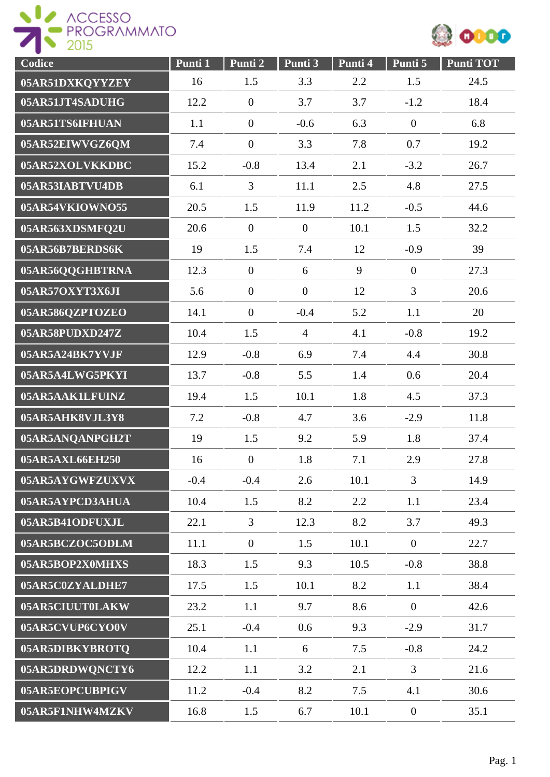



| Codice          | Punti 1 | Punti 2          | Punti 3        | Punti 4 | Punti 5          | <b>Punti TOT</b> |
|-----------------|---------|------------------|----------------|---------|------------------|------------------|
| 05AR51DXKQYYZEY | 16      | 1.5              | 3.3            | 2.2     | 1.5              | 24.5             |
| 05AR51JT4SADUHG | 12.2    | $\boldsymbol{0}$ | 3.7            | 3.7     | $-1.2$           | 18.4             |
| 05AR51TS6IFHUAN | 1.1     | $\overline{0}$   | $-0.6$         | 6.3     | $\boldsymbol{0}$ | 6.8              |
| 05AR52EIWVGZ6QM | 7.4     | $\overline{0}$   | 3.3            | 7.8     | 0.7              | 19.2             |
| 05AR52XOLVKKDBC | 15.2    | $-0.8$           | 13.4           | 2.1     | $-3.2$           | 26.7             |
| 05AR53IABTVU4DB | 6.1     | 3                | 11.1           | 2.5     | 4.8              | 27.5             |
| 05AR54VKIOWNO55 | 20.5    | 1.5              | 11.9           | 11.2    | $-0.5$           | 44.6             |
| 05AR563XDSMFQ2U | 20.6    | $\overline{0}$   | $\overline{0}$ | 10.1    | 1.5              | 32.2             |
| 05AR56B7BERDS6K | 19      | 1.5              | 7.4            | 12      | $-0.9$           | 39               |
| 05AR56QQGHBTRNA | 12.3    | $\overline{0}$   | 6              | 9       | $\overline{0}$   | 27.3             |
| 05AR57OXYT3X6JI | 5.6     | $\overline{0}$   | $\overline{0}$ | 12      | 3                | 20.6             |
| 05AR586QZPTOZEO | 14.1    | $\overline{0}$   | $-0.4$         | 5.2     | 1.1              | 20               |
| 05AR58PUDXD247Z | 10.4    | 1.5              | $\overline{4}$ | 4.1     | $-0.8$           | 19.2             |
| 05AR5A24BK7YVJF | 12.9    | $-0.8$           | 6.9            | 7.4     | 4.4              | 30.8             |
| 05AR5A4LWG5PKYI | 13.7    | $-0.8$           | 5.5            | 1.4     | 0.6              | 20.4             |
| 05AR5AAK1LFUINZ | 19.4    | 1.5              | 10.1           | 1.8     | 4.5              | 37.3             |
| 05AR5AHK8VJL3Y8 | 7.2     | $-0.8$           | 4.7            | 3.6     | $-2.9$           | 11.8             |
| 05AR5ANQANPGH2T | 19      | 1.5              | 9.2            | 5.9     | 1.8              | 37.4             |
| 05AR5AXL66EH250 | 16      | $\overline{0}$   | 1.8            | 7.1     | 2.9              | 27.8             |
| 05AR5AYGWFZUXVX | $-0.4$  | $-0.4$           | 2.6            | 10.1    | $\overline{3}$   | 14.9             |
| 05AR5AYPCD3AHUA | 10.4    | 1.5              | 8.2            | 2.2     | 1.1              | 23.4             |
| 05AR5B41ODFUXJL | 22.1    | $\overline{3}$   | 12.3           | 8.2     | 3.7              | 49.3             |
| 05AR5BCZOC5ODLM | 11.1    | $\overline{0}$   | 1.5            | 10.1    | $\overline{0}$   | 22.7             |
| 05AR5BOP2X0MHXS | 18.3    | 1.5              | 9.3            | 10.5    | $-0.8$           | 38.8             |
| 05AR5C0ZYALDHE7 | 17.5    | 1.5              | 10.1           | 8.2     | 1.1              | 38.4             |
| 05AR5CIUUT0LAKW | 23.2    | 1.1              | 9.7            | 8.6     | $\overline{0}$   | 42.6             |
| 05AR5CVUP6CYO0V | 25.1    | $-0.4$           | 0.6            | 9.3     | $-2.9$           | 31.7             |
| 05AR5DIBKYBROTQ | 10.4    | 1.1              | 6              | 7.5     | $-0.8$           | 24.2             |
| 05AR5DRDWQNCTY6 | 12.2    | 1.1              | 3.2            | 2.1     | $\overline{3}$   | 21.6             |
| 05AR5EOPCUBPIGV | 11.2    | $-0.4$           | 8.2            | 7.5     | 4.1              | 30.6             |
| 05AR5F1NHW4MZKV | 16.8    | 1.5              | 6.7            | 10.1    | $\overline{0}$   | 35.1             |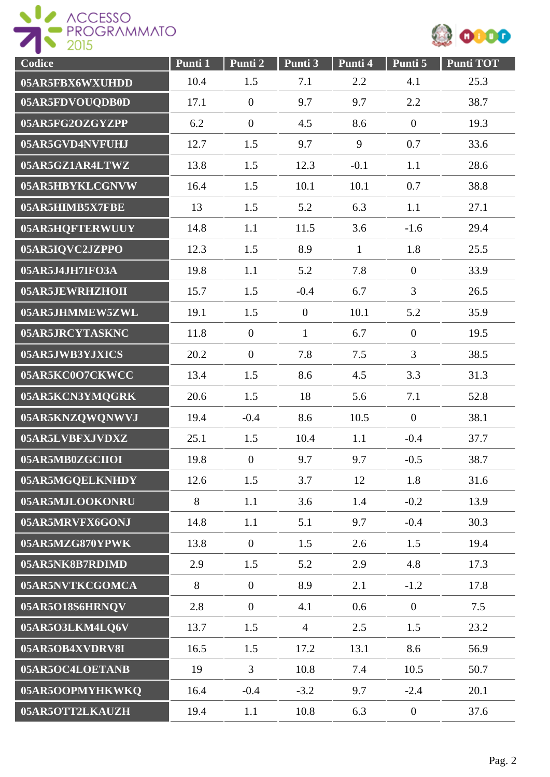



| Codice          | Punti 1 | Punti 2          | $\overline{\text{Punti}}\,3$ | Punti 4      | Punti 5          | <b>Punti TOT</b> |
|-----------------|---------|------------------|------------------------------|--------------|------------------|------------------|
| 05AR5FBX6WXUHDD | 10.4    | 1.5              | 7.1                          | 2.2          | 4.1              | 25.3             |
| 05AR5FDVOUQDB0D | 17.1    | $\boldsymbol{0}$ | 9.7                          | 9.7          | 2.2              | 38.7             |
| 05AR5FG2OZGYZPP | 6.2     | $\overline{0}$   | 4.5                          | 8.6          | $\boldsymbol{0}$ | 19.3             |
| 05AR5GVD4NVFUHJ | 12.7    | 1.5              | 9.7                          | 9            | 0.7              | 33.6             |
| 05AR5GZ1AR4LTWZ | 13.8    | 1.5              | 12.3                         | $-0.1$       | 1.1              | 28.6             |
| 05AR5HBYKLCGNVW | 16.4    | 1.5              | 10.1                         | 10.1         | 0.7              | 38.8             |
| 05AR5HIMB5X7FBE | 13      | 1.5              | 5.2                          | 6.3          | 1.1              | 27.1             |
| 05AR5HQFTERWUUY | 14.8    | 1.1              | 11.5                         | 3.6          | $-1.6$           | 29.4             |
| 05AR5IQVC2JZPPO | 12.3    | 1.5              | 8.9                          | $\mathbf{1}$ | 1.8              | 25.5             |
| 05AR5J4JH7IFO3A | 19.8    | 1.1              | 5.2                          | 7.8          | $\boldsymbol{0}$ | 33.9             |
| 05AR5JEWRHZHOII | 15.7    | 1.5              | $-0.4$                       | 6.7          | 3                | 26.5             |
| 05AR5JHMMEW5ZWL | 19.1    | 1.5              | $\boldsymbol{0}$             | 10.1         | 5.2              | 35.9             |
| 05AR5JRCYTASKNC | 11.8    | $\overline{0}$   | $\mathbf{1}$                 | 6.7          | $\overline{0}$   | 19.5             |
| 05AR5JWB3YJXICS | 20.2    | $\overline{0}$   | 7.8                          | 7.5          | 3                | 38.5             |
| 05AR5KC0O7CKWCC | 13.4    | 1.5              | 8.6                          | 4.5          | 3.3              | 31.3             |
| 05AR5KCN3YMQGRK | 20.6    | 1.5              | 18                           | 5.6          | 7.1              | 52.8             |
| 05AR5KNZQWQNWVJ | 19.4    | $-0.4$           | 8.6                          | 10.5         | $\boldsymbol{0}$ | 38.1             |
| 05AR5LVBFXJVDXZ | 25.1    | 1.5              | 10.4                         | 1.1          | $-0.4$           | 37.7             |
| 05AR5MB0ZGCIIOI | 19.8    | $\boldsymbol{0}$ | 9.7                          | 9.7          | $-0.5$           | 38.7             |
| 05AR5MGQELKNHDY | 12.6    | 1.5              | 3.7                          | 12           | 1.8              | 31.6             |
| 05AR5MJLOOKONRU | 8       | 1.1              | 3.6                          | 1.4          | $-0.2$           | 13.9             |
| 05AR5MRVFX6GONJ | 14.8    | 1.1              | 5.1                          | 9.7          | $-0.4$           | 30.3             |
| 05AR5MZG870YPWK | 13.8    | $\overline{0}$   | 1.5                          | 2.6          | 1.5              | 19.4             |
| 05AR5NK8B7RDIMD | 2.9     | 1.5              | 5.2                          | 2.9          | 4.8              | 17.3             |
| 05AR5NVTKCGOMCA | 8       | $\overline{0}$   | 8.9                          | 2.1          | $-1.2$           | 17.8             |
| 05AR5O18S6HRNQV | 2.8     | $\boldsymbol{0}$ | 4.1                          | 0.6          | $\overline{0}$   | 7.5              |
| 05AR5O3LKM4LQ6V | 13.7    | 1.5              | $\overline{4}$               | 2.5          | 1.5              | 23.2             |
| 05AR5OB4XVDRV8I | 16.5    | 1.5              | 17.2                         | 13.1         | 8.6              | 56.9             |
| 05AR5OC4LOETANB | 19      | $\mathfrak{Z}$   | 10.8                         | 7.4          | 10.5             | 50.7             |
| 05AR5OOPMYHKWKQ | 16.4    | $-0.4$           | $-3.2$                       | 9.7          | $-2.4$           | 20.1             |
| 05AR5OTT2LKAUZH | 19.4    | 1.1              | 10.8                         | 6.3          | $\overline{0}$   | 37.6             |